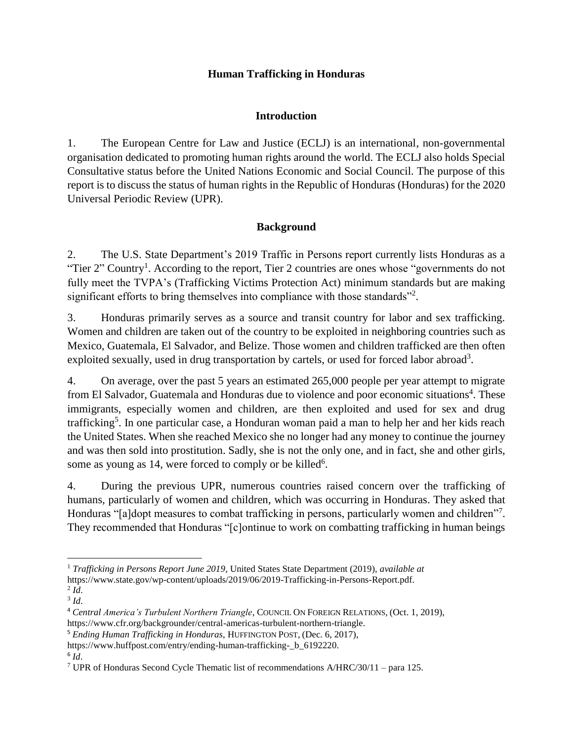## **Human Trafficking in Honduras**

# **Introduction**

1. The European Centre for Law and Justice (ECLJ) is an international, non-governmental organisation dedicated to promoting human rights around the world. The ECLJ also holds Special Consultative status before the United Nations Economic and Social Council. The purpose of this report is to discuss the status of human rights in the Republic of Honduras (Honduras) for the 2020 Universal Periodic Review (UPR).

# **Background**

2. The U.S. State Department's 2019 Traffic in Persons report currently lists Honduras as a "Tier 2" Country<sup>1</sup>. According to the report, Tier 2 countries are ones whose "governments do not fully meet the TVPA's (Trafficking Victims Protection Act) minimum standards but are making significant efforts to bring themselves into compliance with those standards"<sup>2</sup>.

3. Honduras primarily serves as a source and transit country for labor and sex trafficking. Women and children are taken out of the country to be exploited in neighboring countries such as Mexico, Guatemala, El Salvador, and Belize. Those women and children trafficked are then often exploited sexually, used in drug transportation by cartels, or used for forced labor abroad<sup>3</sup>.

4. On average, over the past 5 years an estimated 265,000 people per year attempt to migrate from El Salvador, Guatemala and Honduras due to violence and poor economic situations<sup>4</sup>. These immigrants, especially women and children, are then exploited and used for sex and drug trafficking<sup>5</sup>. In one particular case, a Honduran woman paid a man to help her and her kids reach the United States. When she reached Mexico she no longer had any money to continue the journey and was then sold into prostitution. Sadly, she is not the only one, and in fact, she and other girls, some as young as 14, were forced to comply or be killed<sup>6</sup>.

4. During the previous UPR, numerous countries raised concern over the trafficking of humans, particularly of women and children, which was occurring in Honduras. They asked that Honduras "[a]dopt measures to combat trafficking in persons, particularly women and children"<sup>7</sup>. They recommended that Honduras "[c]ontinue to work on combatting trafficking in human beings

6 *Id*.

l <sup>1</sup> *Trafficking in Persons Report June 2019*, United States State Department (2019), *available at*  https://www.state.gov/wp-content/uploads/2019/06/2019-Trafficking-in-Persons-Report.pdf.

<sup>2</sup> *Id*. 3 *Id*.

<sup>4</sup> *Central America's Turbulent Northern Triangle*, COUNCIL ON FOREIGN RELATIONS, (Oct. 1, 2019), https://www.cfr.org/backgrounder/central-americas-turbulent-northern-triangle.

<sup>5</sup> *Ending Human Trafficking in Honduras*, HUFFINGTON POST, (Dec. 6, 2017),

https://www.huffpost.com/entry/ending-human-trafficking-\_b\_6192220.

<sup>7</sup> UPR of Honduras Second Cycle Thematic list of recommendations A/HRC/30/11 – para 125.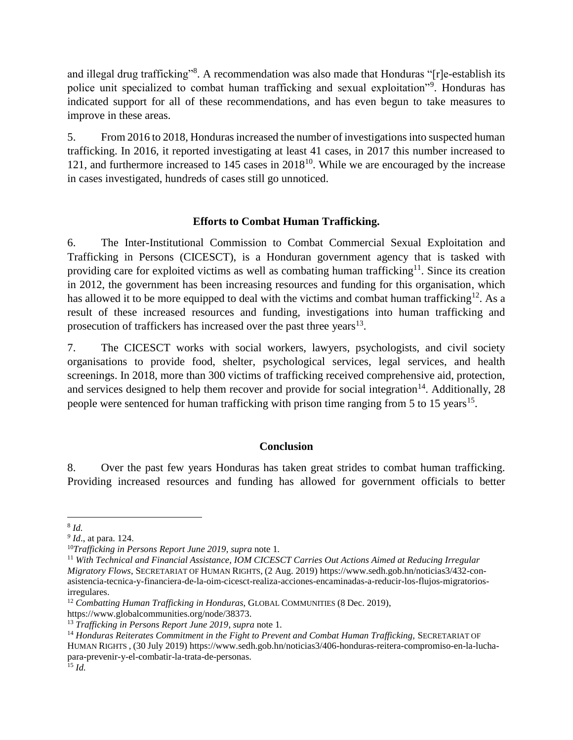and illegal drug trafficking"<sup>8</sup>. A recommendation was also made that Honduras "[r]e-establish its police unit specialized to combat human trafficking and sexual exploitation"<sup>9</sup>. Honduras has indicated support for all of these recommendations, and has even begun to take measures to improve in these areas.

5. From 2016 to 2018, Honduras increased the number of investigations into suspected human trafficking. In 2016, it reported investigating at least 41 cases, in 2017 this number increased to 121, and furthermore increased to  $145$  cases in  $2018^{10}$ . While we are encouraged by the increase in cases investigated, hundreds of cases still go unnoticed.

### **Efforts to Combat Human Trafficking.**

6. The Inter-Institutional Commission to Combat Commercial Sexual Exploitation and Trafficking in Persons (CICESCT), is a Honduran government agency that is tasked with providing care for exploited victims as well as combating human trafficking<sup>11</sup>. Since its creation in 2012, the government has been increasing resources and funding for this organisation, which has allowed it to be more equipped to deal with the victims and combat human trafficking<sup>12</sup>. As a result of these increased resources and funding, investigations into human trafficking and prosecution of traffickers has increased over the past three years $13$ .

7. The CICESCT works with social workers, lawyers, psychologists, and civil society organisations to provide food, shelter, psychological services, legal services, and health screenings. In 2018, more than 300 victims of trafficking received comprehensive aid, protection, and services designed to help them recover and provide for social integration<sup>14</sup>. Additionally, 28 people were sentenced for human trafficking with prison time ranging from 5 to 15 years<sup>15</sup>.

## **Conclusion**

8. Over the past few years Honduras has taken great strides to combat human trafficking. Providing increased resources and funding has allowed for government officials to better

https://www.globalcommunities.org/node/38373.

 $\overline{a}$ 8 *Id.*

*<sup>9</sup> Id*., at para. 124.

<sup>10</sup>*Trafficking in Persons Report June 2019*, *supra* note 1*.*

<sup>11</sup> *With Technical and Financial Assistance, IOM CICESCT Carries Out Actions Aimed at Reducing Irregular Migratory Flows*, SECRETARIAT OF HUMAN RIGHTS, (2 Aug. 2019) https://www.sedh.gob.hn/noticias3/432-conasistencia-tecnica-y-financiera-de-la-oim-cicesct-realiza-acciones-encaminadas-a-reducir-los-flujos-migratoriosirregulares.

<sup>&</sup>lt;sup>12</sup> Combatting Human Trafficking in Honduras, GLOBAL COMMUNITIES (8 Dec. 2019),

<sup>13</sup> *Trafficking in Persons Report June 2019*, *supra* note 1*.*

<sup>&</sup>lt;sup>14</sup> Honduras Reiterates Commitment in the Fight to Prevent and Combat Human Trafficking, SECRETARIAT OF HUMAN RIGHTS , (30 July 2019) https://www.sedh.gob.hn/noticias3/406-honduras-reitera-compromiso-en-la-luchapara-prevenir-y-el-combatir-la-trata-de-personas. <sup>15</sup> *Id.*